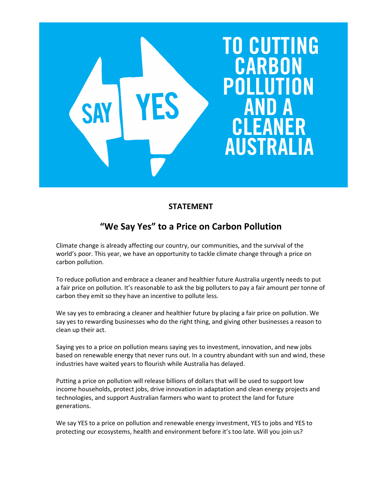

## STATEMENT

## "We Say Yes" to a Price on Carbon Pollution

Climate change is already affecting our country, our communities, and the survival of the world's poor. This year, we have an opportunity to tackle climate change through a price on carbon pollution.

To reduce pollution and embrace a cleaner and healthier future Australia urgently needs to put a fair price on pollution. It's reasonable to ask the big polluters to pay a fair amount per tonne of carbon they emit so they have an incentive to pollute less.

We say yes to embracing a cleaner and healthier future by placing a fair price on pollution. We say yes to rewarding businesses who do the right thing, and giving other businesses a reason to clean up their act.

Saying yes to a price on pollution means saying yes to investment, innovation, and new jobs based on renewable energy that never runs out. In a country abundant with sun and wind, these industries have waited years to flourish while Australia has delayed.

Putting a price on pollution will release billions of dollars that will be used to support low income households, protect jobs, drive innovation in adaptation and clean energy projects and technologies, and support Australian farmers who want to protect the land for future generations.

We say YES to a price on pollution and renewable energy investment, YES to jobs and YES to protecting our ecosystems, health and environment before it's too late. Will you join us?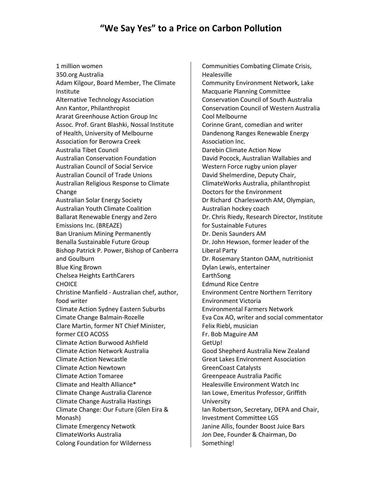## "We Say Yes" to a Price on Carbon Pollution

1 million women 350.org Australia Adam Kilgour, Board Member, The Climate Institute Alternative Technology Association Ann Kantor, Philanthropist Ararat Greenhouse Action Group Inc Assoc. Prof. Grant Blashki, Nossal Institute of Health, University of Melbourne Association for Berowra Creek Australia Tibet Council Australian Conservation Foundation Australian Council of Social Service Australian Council of Trade Unions Australian Religious Response to Climate Change Australian Solar Energy Society Australian Youth Climate Coalition Ballarat Renewable Energy and Zero Emissions Inc. (BREAZE) Ban Uranium Mining Permanently Benalla Sustainable Future Group Bishop Patrick P. Power, Bishop of Canberra and Goulburn Blue King Brown Chelsea Heights EarthCarers **CHOICE** Christine Manfield - Australian chef, author, food writer Climate Action Sydney Eastern Suburbs Cimate Change Balmain-Rozelle Clare Martin, former NT Chief Minister, former CEO ACOSS Climate Action Burwood Ashfield Climate Action Network Australia Climate Action Newcastle Climate Action Newtown Climate Action Tomaree Climate and Health Alliance\* Climate Change Australia Clarence Climate Change Australia Hastings Climate Change: Our Future (Glen Eira & Monash) Climate Emergency Netwotk ClimateWorks Australia Colong Foundation for Wilderness

Communities Combating Climate Crisis, Healesville Community Environment Network, Lake Macquarie Planning Committee Conservation Council of South Australia Conservation Council of Western Australia Cool Melbourne Corinne Grant, comedian and writer Dandenong Ranges Renewable Energy Association Inc. Darebin Climate Action Now David Pocock, Australian Wallabies and Western Force rugby union player David Shelmerdine, Deputy Chair, ClimateWorks Australia, philanthropist Doctors for the Environment Dr Richard Charlesworth AM, Olympian, Australian hockey coach Dr. Chris Riedy, Research Director, Institute for Sustainable Futures Dr. Denis Saunders AM Dr. John Hewson, former leader of the Liberal Party Dr. Rosemary Stanton OAM, nutritionist Dylan Lewis, entertainer EarthSong Edmund Rice Centre Environment Centre Northern Territory Environment Victoria Environmental Farmers Network Eva Cox AO, writer and social commentator Felix Riebl, musician Fr. Bob Maguire AM GetUp! Good Shepherd Australia New Zealand Great Lakes Environment Association GreenCoast Catalysts Greenpeace Australia Pacific Healesville Environment Watch Inc Ian Lowe, Emeritus Professor, Griffith University Ian Robertson, Secretary, DEPA and Chair, Investment Committee LGS Janine Allis, founder Boost Juice Bars Jon Dee, Founder & Chairman, Do Something!